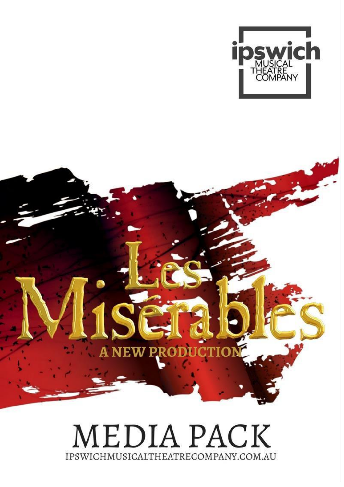

# **NEW PRO** A

## MEDIA PACK IPSWICHMUSICALTHEATRECOMPANY.COM.AU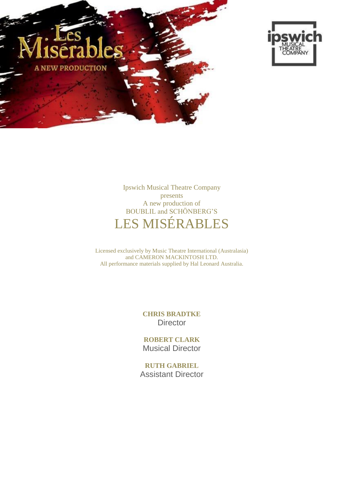



Ipswich Musical Theatre Company presents A new production of BOUBLIL and SCHÖNBERG'S LES MISÉRABLES

Licensed exclusively by Music Theatre International (Australasia) and CAMERON MACKINTOSH LTD. All performance materials supplied by Hal Leonard Australia.

> **CHRIS BRADTKE Director**

> **ROBERT CLARK** Musical Director

**RUTH GABRIEL** Assistant Director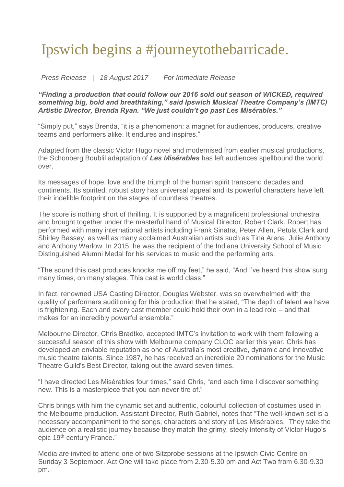## Ipswich begins a #journeytothebarricade.

*Press Release | 18 August 2017 | For Immediate Release*

*"Finding a production that could follow our 2016 sold out season of WICKED, required something big, bold and breathtaking," said Ipswich Musical Theatre Company's (IMTC) Artistic Director, Brenda Ryan. "We just couldn't go past Les Misérables."*

"Simply put," says Brenda, "it is a phenomenon: a magnet for audiences, producers, creative teams and performers alike. It endures and inspires."

Adapted from the classic Victor Hugo novel and modernised from earlier musical productions, the Schonberg Boublil adaptation of *Les Misérables* has left audiences spellbound the world over.

Its messages of hope, love and the triumph of the human spirit transcend decades and continents. Its spirited, robust story has universal appeal and its powerful characters have left their indelible footprint on the stages of countless theatres.

The score is nothing short of thrilling. It is supported by a magnificent professional orchestra and brought together under the masterful hand of Musical Director, Robert Clark. Robert has performed with many international artists including Frank Sinatra, Peter Allen, Petula Clark and Shirley Bassey, as well as many acclaimed Australian artists such as Tina Arena, Julie Anthony and Anthony Warlow. In 2015, he was the recipient of the Indiana University School of Music Distinguished Alumni Medal for his services to music and the performing arts.

"The sound this cast produces knocks me off my feet," he said, "And I've heard this show sung many times, on many stages. This cast is world class."

In fact, renowned USA Casting Director, Douglas Webster, was so overwhelmed with the quality of performers auditioning for this production that he stated, "The depth of talent we have is frightening. Each and every cast member could hold their own in a lead role – and that makes for an incredibly powerful ensemble."

Melbourne Director, Chris Bradtke, accepted IMTC's invitation to work with them following a successful season of this show with Melbourne company CLOC earlier this year. Chris has developed an enviable reputation as one of Australia's most creative, dynamic and innovative music theatre talents. Since 1987, he has received an incredible 20 nominations for the Music Theatre Guild's Best Director, taking out the award seven times.

"I have directed Les Misérables four times," said Chris, "and each time I discover something new. This is a masterpiece that you can never tire of."

Chris brings with him the dynamic set and authentic, colourful collection of costumes used in the Melbourne production. Assistant Director, Ruth Gabriel, notes that "The well-known set is a necessary accompaniment to the songs, characters and story of Les Misérables. They take the audience on a realistic journey because they match the grimy, steely intensity of Victor Hugo's epic 19<sup>th</sup> century France."

Media are invited to attend one of two Sitzprobe sessions at the Ipswich Civic Centre on Sunday 3 September. Act One will take place from 2.30-5.30 pm and Act Two from 6.30-9.30 pm.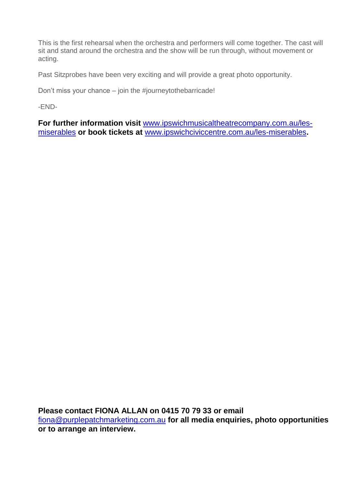This is the first rehearsal when the orchestra and performers will come together. The cast will sit and stand around the orchestra and the show will be run through, without movement or acting.

Past Sitzprobes have been very exciting and will provide a great photo opportunity.

Don't miss your chance – join the #journeytothebarricade!

-END-

**For further information visit** [www.ipswichmusicaltheatrecompany.com.au/les](http://www.ipswichmusicaltheatrecompany.com.au/les-miserables)[miserables](http://www.ipswichmusicaltheatrecompany.com.au/les-miserables) **or book tickets at** [www.ipswichciviccentre.com.au/les-miserables](http://www.ipswichciviccentre.com.au/les-miserables)**.**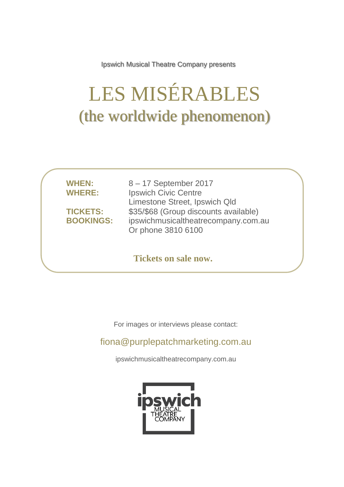Ipswich Musical Theatre Company presents

## LES MISÉRABLES (the worldwide phenomenon)



8 – 17 September 2017 Ipswich Civic Centre Limestone Street, Ipswich Qld \$35/\$68 (Group discounts available) ipswichmusicaltheatrecompany.com.au Or phone 3810 6100

#### **Tickets on sale now.**

For images or interviews please contact:

[fiona@purplepatchmarketing.com.au](mailto:ipswichmusicaltheatrecompany@gmail.com)

ipswichmusicaltheatrecompany.com.au

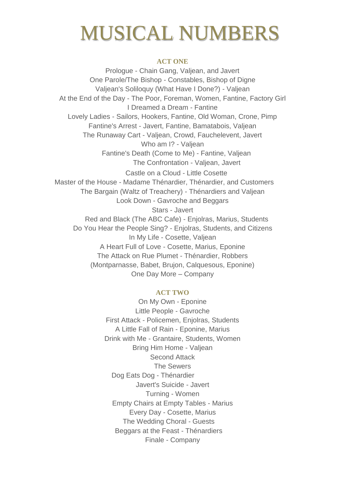## MUSICAL NUMBERS

#### **ACT ONE**

Prologue - Chain Gang, Valjean, and Javert One Parole/The Bishop - Constables, Bishop of Digne Valjean's Soliloquy (What Have I Done?) - Valjean At the End of the Day - The Poor, Foreman, Women, Fantine, Factory Girl I Dreamed a Dream - Fantine Lovely Ladies - Sailors, Hookers, Fantine, Old Woman, Crone, Pimp Fantine's Arrest - Javert, Fantine, Bamatabois, Valjean The Runaway Cart - Valjean, Crowd, Fauchelevent, Javert Who am I? - Valjean Fantine's Death (Come to Me) - Fantine, Valjean The Confrontation - Valjean, Javert Castle on a Cloud - Little Cosette Master of the House - Madame Thénardier, Thénardier, and Customers The Bargain (Waltz of Treachery) - Thénardiers and Valjean Look Down - Gavroche and Beggars Stars - Javert Red and Black (The ABC Cafe) - Enjolras, Marius, Students Do You Hear the People Sing? - Enjolras, Students, and Citizens In My Life - Cosette, Valjean A Heart Full of Love - Cosette, Marius, Eponine The Attack on Rue Plumet - Thénardier, Robbers (Montparnasse, Babet, Brujon, Calquesous, Eponine) One Day More – Company

#### **ACT TWO**

On My Own - Eponine Little People - Gavroche First Attack - Policemen, Enjolras, Students A Little Fall of Rain - Eponine, Marius Drink with Me - Grantaire, Students, Women Bring Him Home - Valjean Second Attack The Sewers Dog Eats Dog - Thénardier Javert's Suicide - Javert Turning - Women Empty Chairs at Empty Tables - Marius Every Day - Cosette, Marius The Wedding Choral - Guests Beggars at the Feast - Thénardiers Finale - Company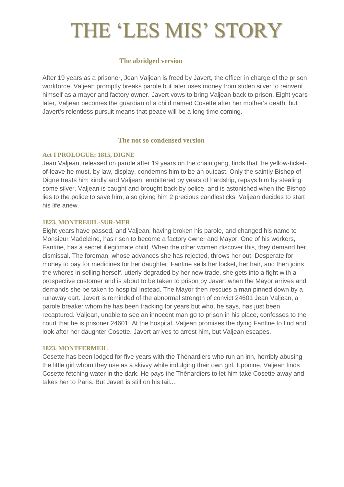# THE 'LES MIS' STORY

#### **The abridged version**

After 19 years as a prisoner, Jean Valjean is freed by Javert, the officer in charge of the prison workforce. Valjean promptly breaks parole but later uses money from stolen silver to reinvent himself as a mayor and factory owner. Javert vows to bring Valjean back to prison. Eight years later, Valjean becomes the guardian of a child named Cosette after her mother's death, but Javert's relentless pursuit means that peace will be a long time coming.

#### **The not so condensed version**

#### **Act I PROLOGUE: 1815, DIGNE**

Jean Valjean, released on parole after 19 years on the chain gang, finds that the yellow-ticketof-leave he must, by law, display, condemns him to be an outcast. Only the saintly Bishop of Digne treats him kindly and Valjean, embittered by years of hardship, repays him by stealing some silver. Valjean is caught and brought back by police, and is astonished when the Bishop lies to the police to save him, also giving him 2 precious candlesticks. Valjean decides to start his life anew.

#### **1823, MONTREUIL-SUR-MER**

Eight years have passed, and Valjean, having broken his parole, and changed his name to Monsieur Madeleine, has risen to become a factory owner and Mayor. One of his workers, Fantine, has a secret illegitimate child. When the other women discover this, they demand her dismissal. The foreman, whose advances she has rejected, throws her out. Desperate for money to pay for medicines for her daughter, Fantine sells her locket, her hair, and then joins the whores in selling herself. utterly degraded by her new trade, she gets into a fight with a prospective customer and is about to be taken to prison by Javert when the Mayor arrives and demands she be taken to hospital instead. The Mayor then rescues a man pinned down by a runaway cart. Javert is reminded of the abnormal strength of convict 24601 Jean Valjean, a parole breaker whom he has been tracking for years but who, he says, has just been recaptured. Valjean, unable to see an innocent man go to prison in his place, confesses to the court that he is prisoner 24601. At the hospital, Valjean promises the dying Fantine to find and look after her daughter Cosette. Javert arrives to arrest him, but Valjean escapes.

#### **1823, MONTFERMEIL**

Cosette has been lodged for five years with the Thénardiers who run an inn, horribly abusing the little girl whom they use as a skivvy while indulging their own girl, Eponine. Valjean finds Cosette fetching water in the dark. He pays the Thénardiers to let him take Cosette away and takes her to Paris. But Javert is still on his tail....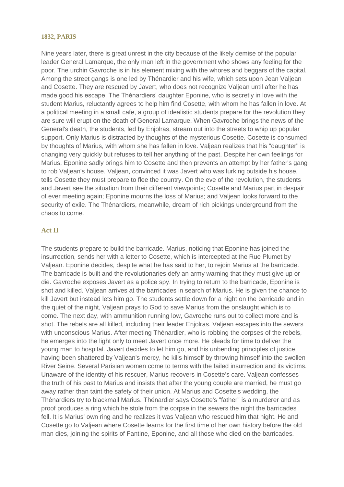#### **1832, PARIS**

Nine years later, there is great unrest in the city because of the likely demise of the popular leader General Lamarque, the only man left in the government who shows any feeling for the poor. The urchin Gavroche is in his element mixing with the whores and beggars of the capital. Among the street gangs is one led by Thénardier and his wife, which sets upon Jean Valjean and Cosette. They are rescued by Javert, who does not recognize Valjean until after he has made good his escape. The Thénardiers' daughter Eponine, who is secretly in love with the student Marius, reluctantly agrees to help him find Cosette, with whom he has fallen in love. At a political meeting in a small cafe, a group of idealistic students prepare for the revolution they are sure will erupt on the death of General Lamarque. When Gavroche brings the news of the General's death, the students, led by Enjolras, stream out into the streets to whip up popular support. Only Marius is distracted by thoughts of the mysterious Cosette. Cosette is consumed by thoughts of Marius, with whom she has fallen in love. Valjean realizes that his "daughter" is changing very quickly but refuses to tell her anything of the past. Despite her own feelings for Marius, Eponine sadly brings him to Cosette and then prevents an attempt by her father's gang to rob Valjean's house. Valjean, convinced it was Javert who was lurking outside his house, tells Cosette they must prepare to flee the country. On the eve of the revolution, the students and Javert see the situation from their different viewpoints; Cosette and Marius part in despair of ever meeting again; Eponine mourns the loss of Marius; and Valjean looks forward to the security of exile. The Thénardiers, meanwhile, dream of rich pickings underground from the chaos to come.

#### **Act II**

The students prepare to build the barricade. Marius, noticing that Eponine has joined the insurrection, sends her with a letter to Cosette, which is intercepted at the Rue Plumet by Valjean. Eponine decides, despite what he has said to her, to rejoin Marius at the barricade. The barricade is built and the revolutionaries defy an army warning that they must give up or die. Gavroche exposes Javert as a police spy. In trying to return to the barricade, Eponine is shot and killed. Valjean arrives at the barricades in search of Marius. He is given the chance to kill Javert but instead lets him go. The students settle down for a night on the barricade and in the quiet of the night, Valjean prays to God to save Marius from the onslaught which is to come. The next day, with ammunition running low, Gavroche runs out to collect more and is shot. The rebels are all killed, including their leader Enjolras. Valjean escapes into the sewers with unconscious Marius. After meeting Thénardier, who is robbing the corpses of the rebels, he emerges into the light only to meet Javert once more. He pleads for time to deliver the young man to hospital. Javert decides to let him go, and his unbending principles of justice having been shattered by Valjean's mercy, he kills himself by throwing himself into the swollen River Seine. Several Parisian women come to terms with the failed insurrection and its victims. Unaware of the identity of his rescuer, Marius recovers in Cosette's care. Valjean confesses the truth of his past to Marius and insists that after the young couple are married, he must go away rather than taint the safety of their union. At Marius and Cosette's wedding, the Thénardiers try to blackmail Marius. Thénardier says Cosette's "father" is a murderer and as proof produces a ring which he stole from the corpse in the sewers the night the barricades fell. It is Marius' own ring and he realizes it was Valjean who rescued him that night. He and Cosette go to Valjean where Cosette learns for the first time of her own history before the old man dies, joining the spirits of Fantine, Eponine, and all those who died on the barricades.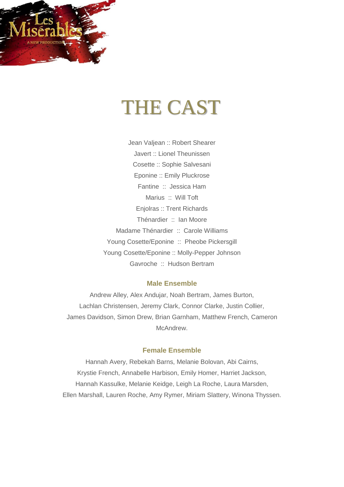

## THE CAST

Jean Valjean :: Robert Shearer Javert :: Lionel Theunissen Cosette :: Sophie Salvesani Eponine :: Emily Pluckrose Fantine :: Jessica Ham Marius :: Will Toft Enjolras :: Trent Richards Thénardier :: Ian Moore Madame Thénardier :: Carole Williams Young Cosette/Eponine :: Pheobe Pickersgill Young Cosette/Eponine :: Molly-Pepper Johnson Gavroche :: Hudson Bertram

#### **Male Ensemble**

Andrew Alley, Alex Andujar, Noah Bertram, James Burton, Lachlan Christensen, Jeremy Clark, Connor Clarke, Justin Collier, James Davidson, Simon Drew, Brian Garnham, Matthew French, Cameron McAndrew.

#### **Female Ensemble**

Hannah Avery, Rebekah Barns, Melanie Bolovan, Abi Cairns, Krystie French, Annabelle Harbison, Emily Homer, Harriet Jackson, Hannah Kassulke, Melanie Keidge, Leigh La Roche, Laura Marsden, Ellen Marshall, Lauren Roche, Amy Rymer, Miriam Slattery, Winona Thyssen.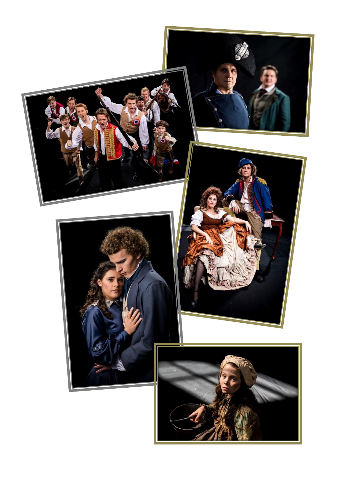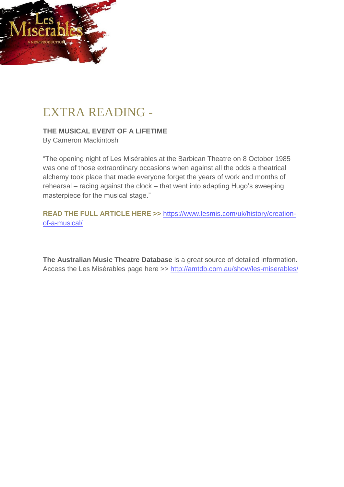

## EXTRA READING -

### **THE MUSICAL EVENT OF A LIFETIME**

By Cameron Mackintosh

"The opening night of Les Misérables at the Barbican Theatre on 8 October 1985 was one of those extraordinary occasions when against all the odds a theatrical alchemy took place that made everyone forget the years of work and months of rehearsal – racing against the clock – that went into adapting Hugo's sweeping masterpiece for the musical stage."

**READ THE FULL ARTICLE HERE >>** https:/[/www.lesmis.com/uk/history/creation](http://www.lesmis.com/uk/history/creation-)of-a-musical/

**The Australian Music Theatre Database** is a great source of detailed information. Access the Les Misérables page here >><http://amtdb.com.au/show/les-miserables/>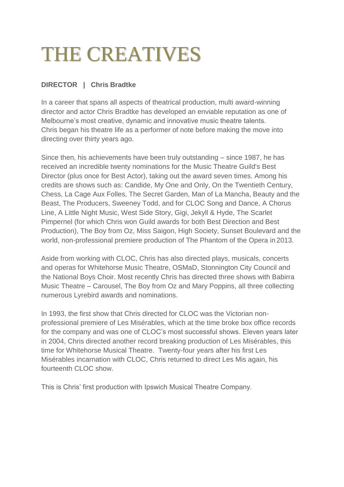# THE CREATIVES

#### **DIRECTOR | Chris Bradtke**

In a career that spans all aspects of theatrical production, multi award-winning director and actor Chris Bradtke has developed an enviable reputation as one of Melbourne's most creative, dynamic and innovative music theatre talents. Chris began his theatre life as a performer of note before making the move into directing over thirty years ago.

Since then, his achievements have been truly outstanding – since 1987, he has received an incredible twenty nominations for the Music Theatre Guild's Best Director (plus once for Best Actor), taking out the award seven times. Among his credits are shows such as: Candide, My One and Only, On the Twentieth Century, Chess, La Cage Aux Folles, The Secret Garden, Man of La Mancha, Beauty and the Beast, The Producers, Sweeney Todd, and for CLOC Song and Dance, A Chorus Line, A Little Night Music, West Side Story, Gigi, Jekyll & Hyde, The Scarlet Pimpernel (for which Chris won Guild awards for both Best Direction and Best Production), The Boy from Oz, Miss Saigon, High Society, Sunset Boulevard and the world, non-professional premiere production of The Phantom of the Opera in 2013.

Aside from working with CLOC, Chris has also directed plays, musicals, concerts and operas for Whitehorse Music Theatre, OSMaD, Stonnington City Council and the National Boys Choir. Most recently Chris has directed three shows with Babirra Music Theatre – Carousel, The Boy from Oz and Mary Poppins, all three collecting numerous Lyrebird awards and nominations.

In 1993, the first show that Chris directed for CLOC was the Victorian nonprofessional premiere of Les Misérables, which at the time broke box office records for the company and was one of CLOC's most successful shows. Eleven years later in 2004, Chris directed another record breaking production of Les Misérables, this time for Whitehorse Musical Theatre. Twenty-four years after his first Les Misérables incarnation with CLOC, Chris returned to direct Les Mis again, his fourteenth CLOC show.

This is Chris' first production with Ipswich Musical Theatre Company.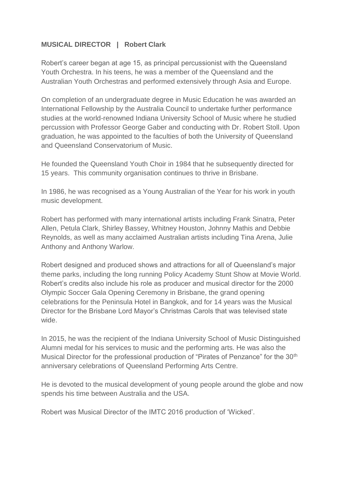#### **MUSICAL DIRECTOR | Robert Clark**

Robert's career began at age 15, as principal percussionist with the Queensland Youth Orchestra. In his teens, he was a member of the Queensland and the Australian Youth Orchestras and performed extensively through Asia and Europe.

On completion of an undergraduate degree in Music Education he was awarded an International Fellowship by the Australia Council to undertake further performance studies at the world-renowned Indiana University School of Music where he studied percussion with Professor George Gaber and conducting with Dr. Robert Stoll. Upon graduation, he was appointed to the faculties of both the University of Queensland and Queensland Conservatorium of Music.

He founded the Queensland Youth Choir in 1984 that he subsequently directed for 15 years. This community organisation continues to thrive in Brisbane.

In 1986, he was recognised as a Young Australian of the Year for his work in youth music development.

Robert has performed with many international artists including Frank Sinatra, Peter Allen, Petula Clark, Shirley Bassey, Whitney Houston, Johnny Mathis and Debbie Reynolds, as well as many acclaimed Australian artists including Tina Arena, Julie Anthony and Anthony Warlow.

Robert designed and produced shows and attractions for all of Queensland's major theme parks, including the long running Policy Academy Stunt Show at Movie World. Robert's credits also include his role as producer and musical director for the 2000 Olympic Soccer Gala Opening Ceremony in Brisbane, the grand opening celebrations for the Peninsula Hotel in Bangkok, and for 14 years was the Musical Director for the Brisbane Lord Mayor's Christmas Carols that was televised state wide.

In 2015, he was the recipient of the Indiana University School of Music Distinguished Alumni medal for his services to music and the performing arts. He was also the Musical Director for the professional production of "Pirates of Penzance" for the 30<sup>th</sup> anniversary celebrations of Queensland Performing Arts Centre.

He is devoted to the musical development of young people around the globe and now spends his time between Australia and the USA.

Robert was Musical Director of the IMTC 2016 production of 'Wicked'.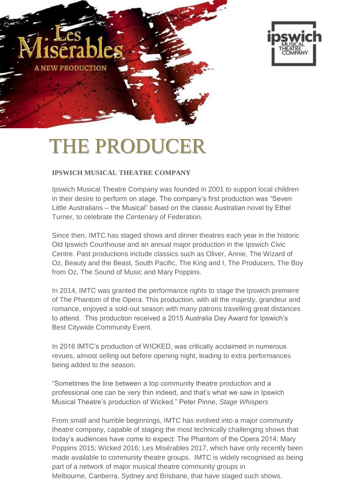



## THE PRODUCER

#### **IPSWICH MUSICAL THEATRE COMPANY**

Ipswich Musical Theatre Company was founded in 2001 to support local children in their desire to perform on stage. The company's first production was "Seven Little Australians – the Musical" based on the classic Australian novel by Ethel Turner, to celebrate the Centenary of Federation.

Since then, IMTC has staged shows and dinner theatres each year in the historic Old Ipswich Courthouse and an annual major production in the Ipswich Civic Centre. Past productions include classics such as Oliver, Annie, The Wizard of Oz, Beauty and the Beast, South Pacific, The King and I, The Producers, The Boy from Oz, The Sound of Music and Mary Poppins.

In 2014, IMTC was granted the performance rights to stage the Ipswich premiere of The Phantom of the Opera. This production, with all the majesty, grandeur and romance, enjoyed a sold-out season with many patrons travelling great distances to attend. This production received a 2015 Australia Day Award for Ipswich's Best Citywide Community Event.

In 2016 IMTC's production of WICKED, was critically acclaimed in numerous revues, almost selling out before opening night, leading to extra performances being added to the season.

"Sometimes the line between a top community theatre production and a professional one can be very thin indeed, and that's what we saw in Ipswich Musical Theatre's production of Wicked." Peter Pinne, *Stage Whispers*

From small and humble beginnings, IMTC has evolved into a major community theatre company, capable of staging the most technically challenging shows that today's audiences have come to expect: The Phantom of the Opera 2014; Mary Poppins 2015; Wicked 2016; Les Misérables 2017, which have only recently been made available to community theatre groups. IMTC is widely recognised as being part of a network of major musical theatre community groups in Melbourne, Canberra, Sydney and Brisbane, that have staged such shows.